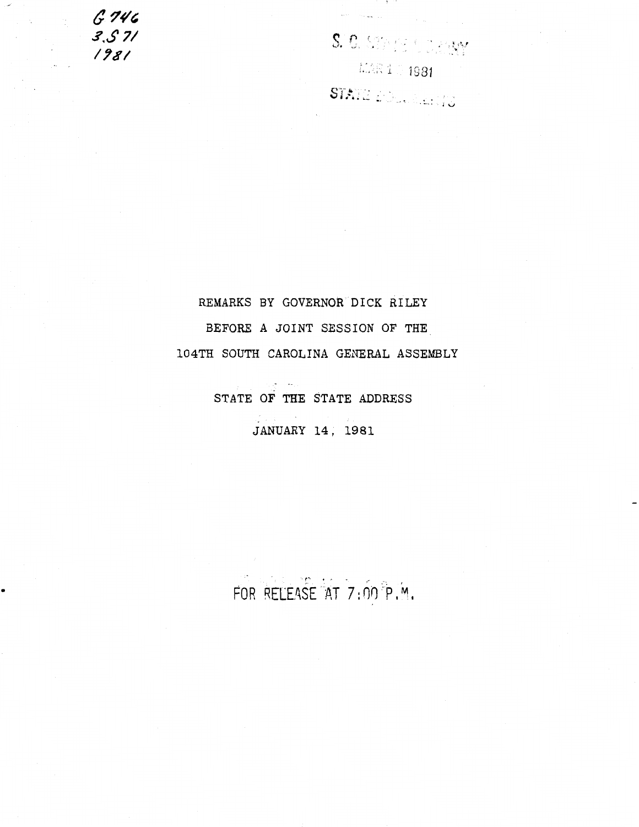*ti & 746 ..?.\$ 71*  **1781** 

 $\overline{\phantom{a}}$ 

•

S. C. SEPTE & D. P.RY  $\mathbb{K}\mathbb{R}$  1  $\mathbb{I}$  1981  $\mathbb{I}$ 

S . ·~··!' .. **i"** ...... \_ •. . . lV

. . .

REMARKS BY GOVERNOR DICK RILEY BEFORE A JOINT SESSION OF THE 104TH SOUTH CAROLINA GENERAL ASSEMBLY

> $\mathcal{L}_{\mathcal{L}}(\mathcal{L}_{\mathcal{L}})$  and  $\mathcal{L}_{\mathcal{L}}$ STATE OF THE STATE ADDRESS

> > JANUARY 14, 1981

FOR RELEASE AT 7:00 P.M.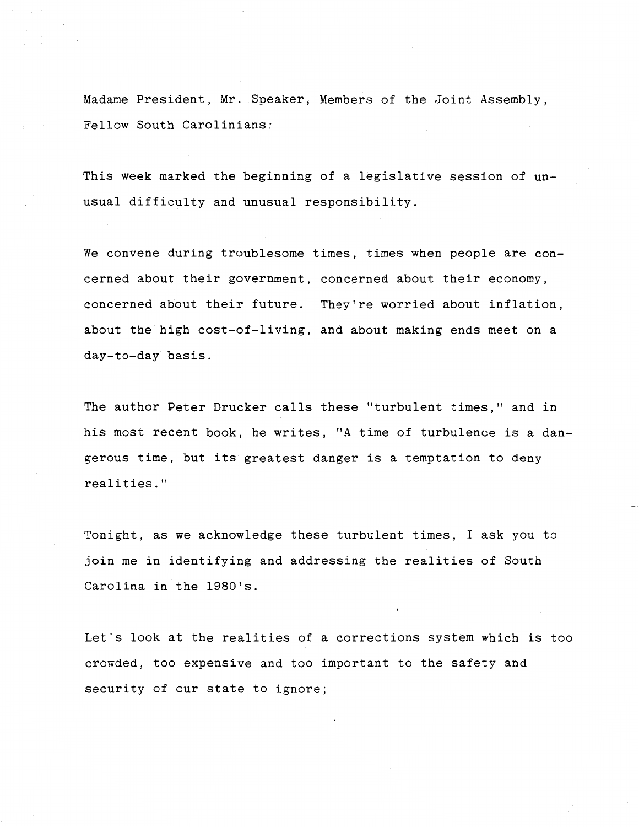Madame President, Mr. Speaker, Members of the Joint Assembly, Fellow South Carolinians:

This week marked the beginning of a legislative session of unusual difficulty and unusual responsibility.

We convene during troublesome times, times when people are concerned about their government, concerned about their economy, concerned about their future. They're worried about inflation, about the high cost-of-living, and about making ends meet on a day-to-day basis.

The author Peter Drucker calls these "turbulent times," and in his most recent book, he writes, "A time of turbulence is a dangerous time, but its greatest danger is a temptation to deny realities."

Tonight, as we acknowledge these turbulent times, I ask you to join me in identifying and addressing the realities of South Carolina in the 1980's.

Let's look at the realities of a corrections system which is too crowded, too expensive and too important to the safety and security of our state to ignore;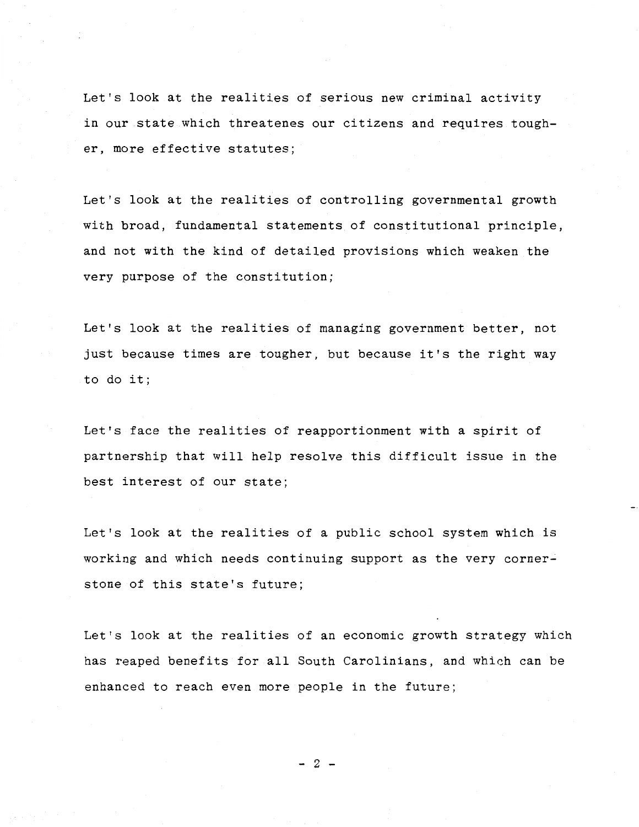Let's look at the realities of serious new criminal activity in our state which threatenes our citizens and requires tougher, more effective statutes;

Let's look at the realities of controlling governmental growth with broad, fundamental statements of constitutional principle, and not with the kind of detailed provisions which weaken the very purpose of the constitution;

Let's look at the realities of managing government better, not just because times are tougher, but because it's the right way to do it;

Let's face the realities of reapportionment with a spirit of partnership that will help resolve this difficult issue in the best interest of our state;

Let's look at the realities of a public school system which is working and which needs continuing support as the very cornerstone of this state's future;

Let's look at the realities of an economic growth strategy which has reaped benefits for all South Carolinians, and which can be enhanced to reach even more people in the future;

 $-2$  -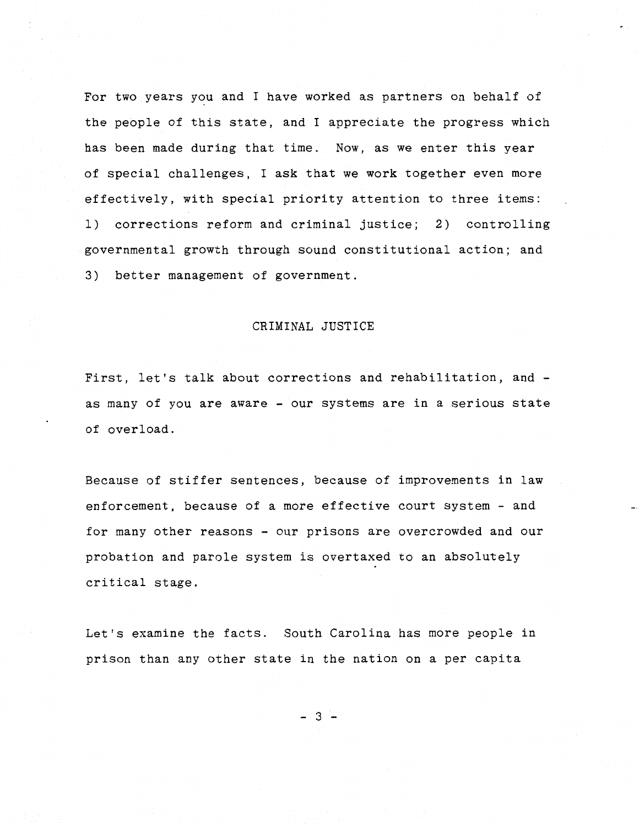For two years you and I have worked as partners on behalf of the people of this state, and I appreciate the progress which has been made during that time. Now, as we enter this year of special challenges, I ask that we work together even more effectively, with special priority attention to three items: 1) corrections reform and criminal justice; 2) controlling governmental growth through sound constitutional action; and 3) better management of government.

## CRIMINAL JUSTICE

First, let's talk about corrections and rehabilitation, andas many of you are aware - our systems are in a serious state of overload.

Because of stiffer sentences, because of improvements in law enforcement, because of a more effective court system- and for many other reasons - our prisons are overcrowded and our probation and parole system is overtaxed to an absolutely critical stage.

Let's examine the facts. South Carolina has more people in prison than any other state in the nation on a per capita

- 3 -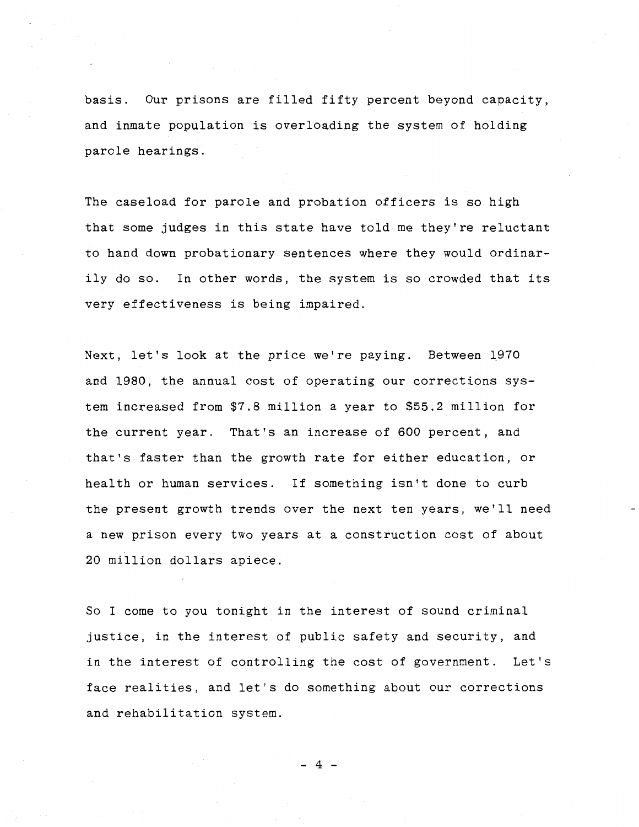basis. Our prisons are filled fifty percent beyond capacity, and inmate population is overloading the system of holding parole hearings.

The caseload for parole and probation officers is so high that some judges in this state have told me they're reluctant to hand down probationary sentences where they would ordinarily do so. In other words, the system is so crowded that its very effectiveness is being impaired.

Next, let's look at the price we're paying. Between 1970 and 1980, the annual cost of operating our corrections system increased from \$7.8 million a year to \$55.2 million for the current year. That's an increase of 600 percent, and that's faster than the growth rate for either education, or health or human services. If something isn't done to curb the present growth trends over the next ten years, we'll need a new prison every two years at a construction cost of about 20 million dollars apiece.

So I come to you tonight in the interest of sound criminal justice, in the interest of public safety and security, and in the interest of controlling the cost of government. Let's face realities, and let's do something about our corrections and rehabilitation system.

- 4 -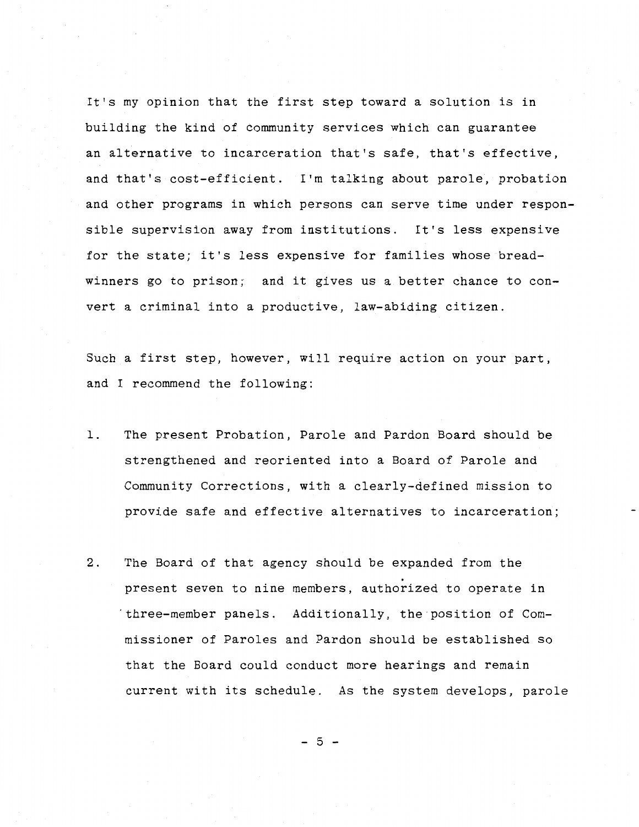It's my opinion that the first step toward a solution is in building the kind of community services which can guarantee an alternative to incarceration that's safe, that's effective, and that's cost-efficient. I'm talking about parole, probation and other programs in which persons can serve time under responsible supervision away from institutions. It's less expensive for the state; it's less expensive for families whose breadwinners go to prison; and it gives us a better chance to convert a criminal into a productive, law-abiding citizen.

Such a first step, however, will require action on your part, and I recommend the following:

- 1. The present Probation, Parole and Pardon Board should be strengthened and reoriented into a Board of Parole and Community Corrections, with a clearly-defined mission to provide safe and effective alternatives to incarceration;
- 2. The Board of that agency should be expanded from the . present seven to nine members, authorized to operate in 'three-member panels. Additionally, the position of Commissioner of Paroles and Pardon should be established so that the Board could conduct more hearings and remain current with its schedule. As the system develops, parole

- 5 -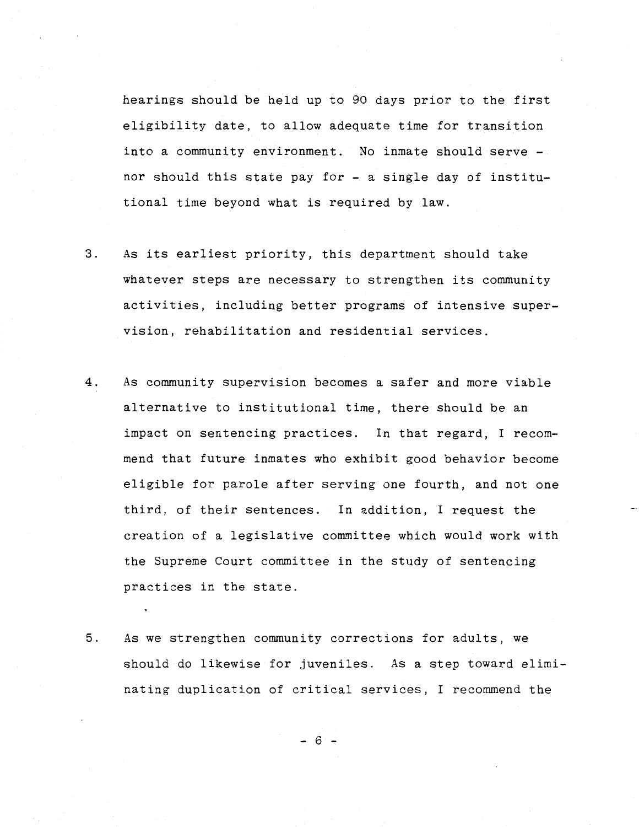hearings should be held up to 90 days prior to the first eligibility date, to allow adequate time for transition into a community environment. No inmate should serve nor should this state pay for - a single day of institutional time beyond what is required by law.

- 3. As its earliest priority, this department should take whatever steps are necessary to strengthen its community activities, including better programs of intensive supervision, rehabilitation and residential services.
- 4. As community supervision becomes a safer and more viable alternative to institutional time, there should be an impact on sentencing practices. In that regard, I recommend that future inmates who exhibit good behavior become eligible for parole after serving one fourth, and not one third, of their sentences. In addition, I request the creation of a legislative committee which would work with the Supreme Court committee in the study of sentencing practices in the state.
- 5. As we strengthen community corrections for adults, we should do likewise for juveniles. As a step toward eliminating duplication of critical services, I recommend the

 $- 6$   $-$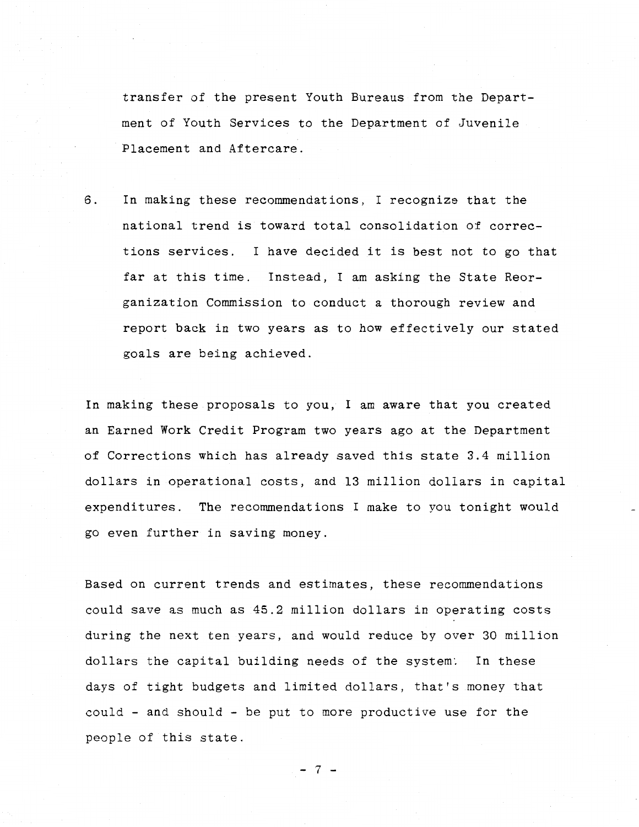transfer of the present Youth Bureaus from the Department of Youth Services to the Department of Juvenile Placement and Aftercare.

6. In making these recommendations, I recognize that the national trend is toward total consolidation of corrections services. I have decided it is best not to go that far at this time. Instead, I am asking the State Reorganization Commission to conduct a thorough review and report back in two years as to how effectively our stated goals are being achieved.

In making these proposals to you, I am aware that you created an Earned Work Credit Program two years ago at the Department of Corrections which has already saved this state 3.4 million dollars in operational costs, and 13 million dollars in capital expenditures. The recommendations I make to you tonight would go even further in saving money.

Based on current trends and estimates, these recommendations could save as much as 45.2 million dollars in operating costs during the next ten years, and would reduce by over 30 million dollars the capital building needs of the system: In these days of tight budgets and limited dollars, that's money that could - and should - be put to more productive use for the people of this state.

 $-7$  -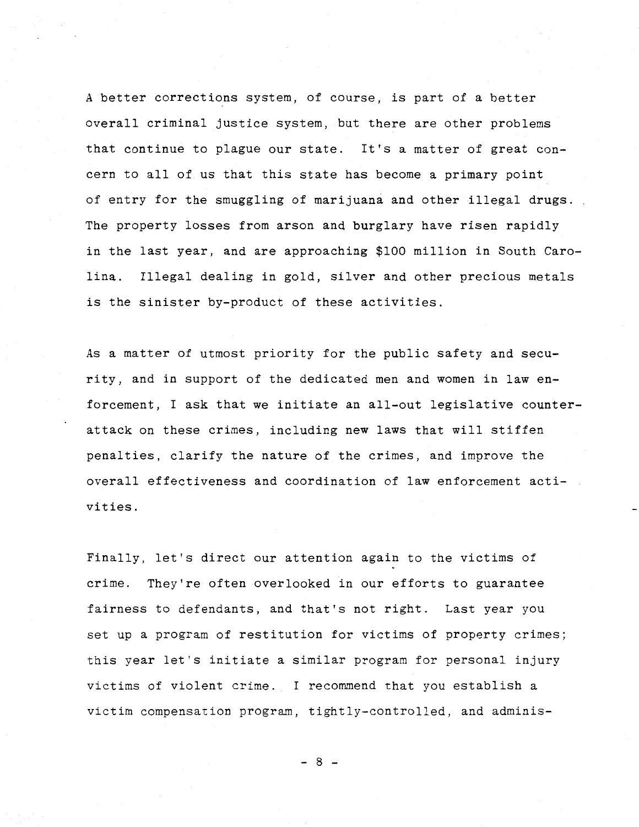A better corrections system, of course, is part of a better overall criminal justice system, but there are other problems that continue to plague our state. It's a matter of great concern to all of us that this state has become a primary point of entry for the smuggling of marijuana and other illegal drugs. The property losses from arson and burglary have risen rapidly in the last year, and are approaching \$100 million in South Carolina. Illegal dealing in gold, silver and other precious metals is the sinister by-product of these activities.

As a matter of utmost priority for the public safety and security, and in support of the dedicated men and women in law enforcement, I ask that we initiate an all-out legislative counterattack on these crimes, including new laws that will stiffen penalties, clarify the nature of the crimes, and improve the overall effectiveness and coordination of law enforcement activities.

Finally, let's direct our attention again to the victims of crime. They're often overlooked in our efforts to guarantee fairness to defendants, and that's not right. Last year you set up a program of restitution for victims of property crimes; this year let's initiate a similar program for personal injury victims of violent crime. I recommend that you establish a victim compensation program, tightly-controlled, and adminis-

- 8 -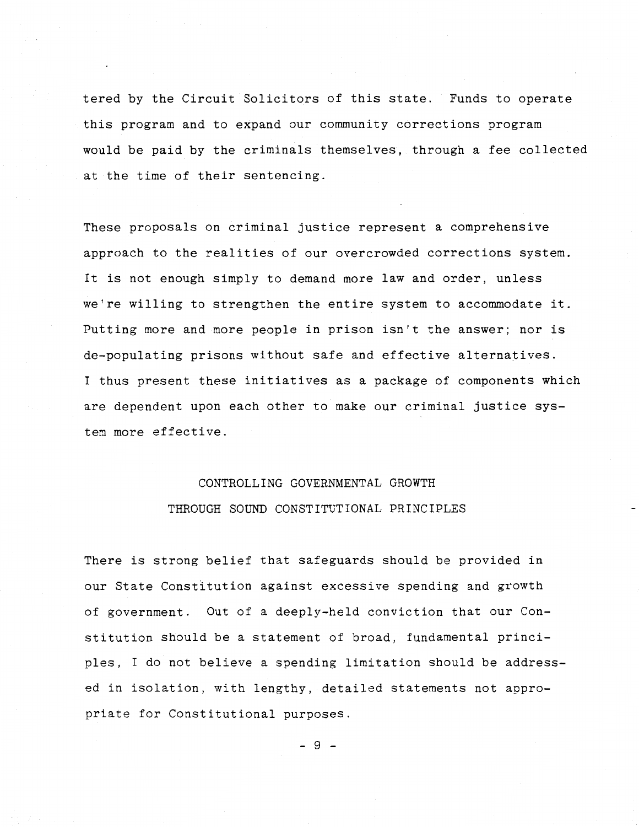tered by the Circuit Solicitors of this state. Funds to operate this program and to expand our community corrections program would be paid by the criminals themselves, through a fee collected at the time of their sentencing.

These proposals on criminal justice represent a comprehensive approach to the realities of our overcrowded corrections system. It is not enough simply to demand more law and order, unless we're willing to strengthen the entire system to accommodate it. Putting more and more people in prison isn't the answer; nor is de-populating prisons without safe and effective alternatives. I thus present these initiatives as a package of components which are dependent upon each other to make our criminal justice system more effective.

## CONTROLLING GOVERNMENTAL GROWTH THROUGH SOUND CONSTITUTIONAL PRINCIPLES

There is strong belief that safeguards should be provided in our State Constitution against excessive spending and growth of government. Out of a deeply-held conviction that our Constitution should be a statement of broad, fundamental principles, I do not believe a spending limitation should be addressed in isolation, with lengthy, detailed statements not appropriate for Constitutional purposes.

- 9 -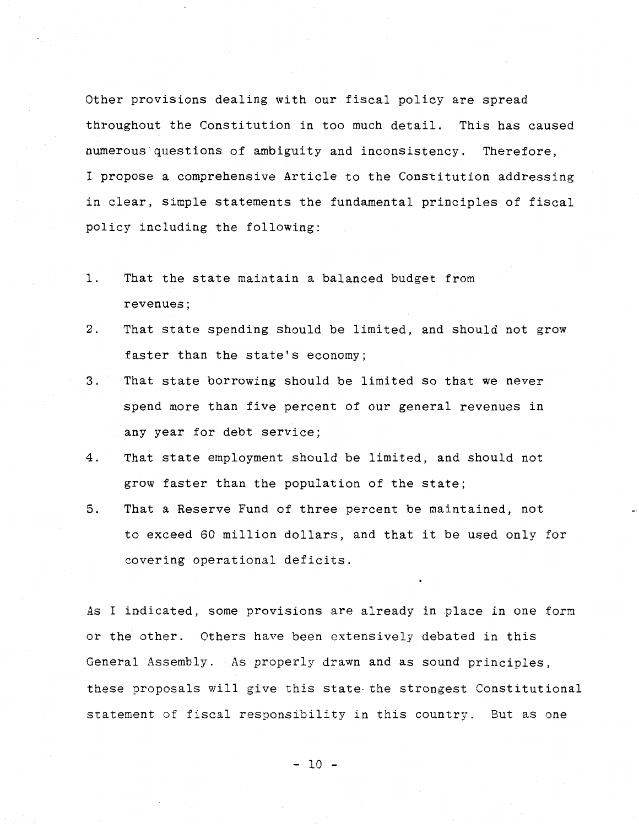Other provisions dealing with our fiscal policy are spread throughout the Constitution in too much detail. This has caused numerous questions of ambiguity and inconsistency. Therefore, I propose a comprehensive Article to the Constitution addressing in clear, simple statements the fundamental principles of fiscal policy including the following:

- 1. That the state maintain a balanced budget from revenues;
- 2. That state spending should be limited, and should not grow faster than the state's economy;
- 3. That state borrowing should be limited so that we never spend more than five percent of our general revenues in any year for debt service;
- 4. That state employment should be limited, and should not grow faster than the population of the state;
- 5. That a Reserve Fund of three percent be maintained, not to exceed 60 million dollars, and that it be used only for covering operational deficits.

As I indicated, some provisions are already in place in one form or the other. Others have been extensively debated in this General Assembly. As properly drawn and as sound principles, these proposals will give this state- the strongest Constitutional statement of fiscal responsibility in this country. But as one

- 10 -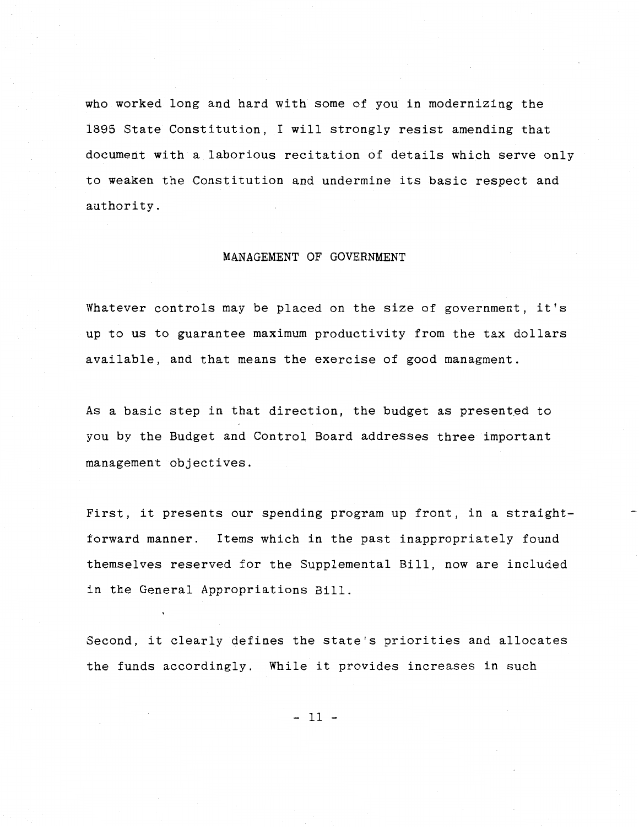who worked long and hard with some of you in modernizing the 1895 State Constitution, I will strongly resist amending that document with a laborious recitation of details which serve only to weaken the Constitution and undermine its basic respect and authority.

## MANAGEMENT OF GOVERNMENT

Whatever controls may be placed on the size of government, it's up to us to guarantee maximum productivity from the tax dollars available, and that means the exercise of good managment.

As a basic step in that direction, the budget as presented to you by the Budget and Control Board addresses three important management objectives.

First, it presents our spending program up front, in a straightforward manner. Items which in the past inappropriately found themselves reserved for the Supplemental Bill, now are included in the General Appropriations Bill.

Second, it clearly defines the state's priorities and allocates the funds accordingly. While it provides increases in such

- 11 -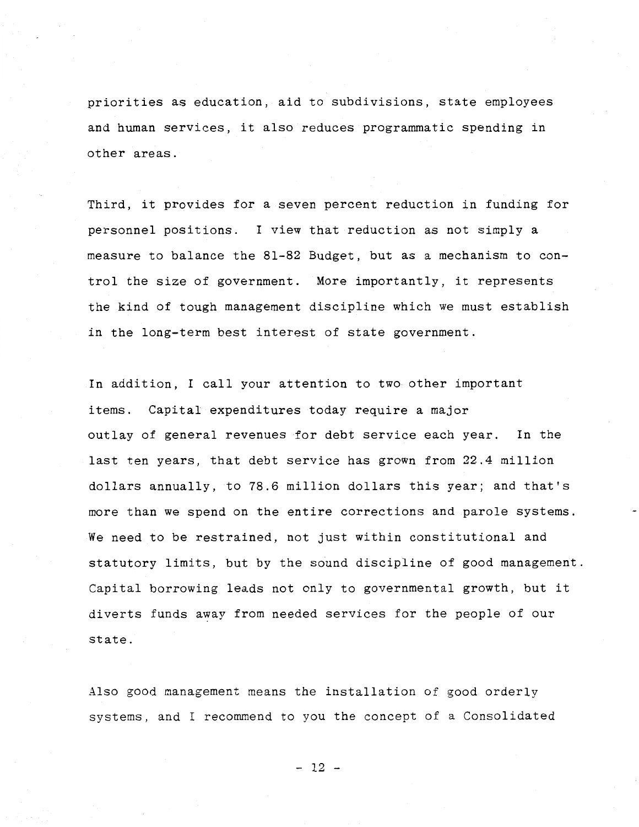priorities as education, aid to subdivisions, state employees and human services, it also reduces programmatic spending in other areas.

Third, it provides for a seven percent reduction in funding for personnel positions. I view that reduction as not simply a measure to balance the 81-82 Budget, but as a mechanism to control the size of government. More importantly, it represents the kind of tough management discipline which we must establish in the long-term best interest of state government.

In addition, I call your attention to two other important items. Capital expenditures today require a major outlay of general revenues for debt service each year. In the last ten years, that debt service has grown from 22.4 million dollars annually, to 78.6 million dollars this year; and that's more than we spend on the entire corrections and parole systems. We need to be restrained, not just within constitutional and statutory limits, but by the sound discipline of good management. Capital borrowing leads not only to governmental growth, but it diverts funds away from needed services for the people of our state.

Also good management means the installation of good orderly systems, and I recommend to you the concept of a Consolidated

 $-12$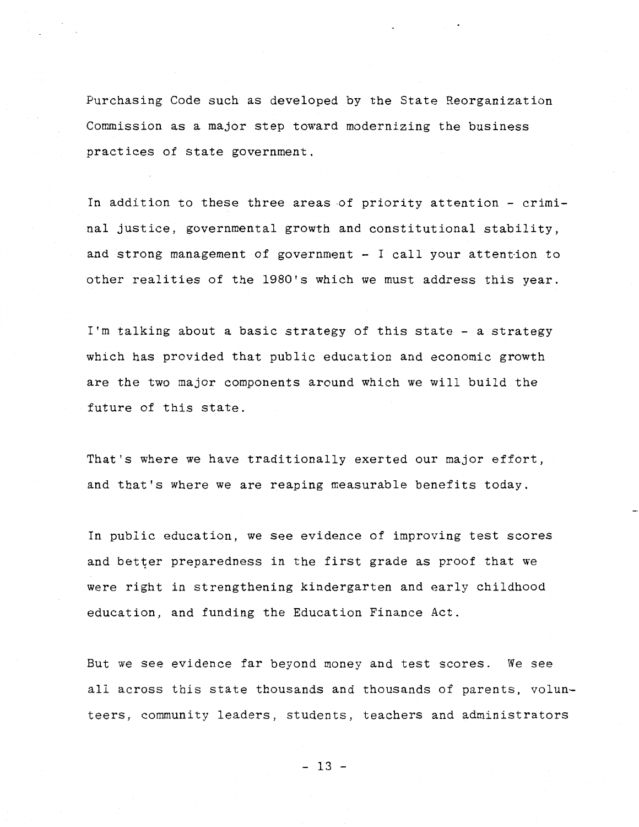Purchasing Code such as developed by the State Reorganization Commission as a major step toward modernizing the business practices of state government.

In addition to these three areas of priority attention  $-$  criminal justice, governmental growth and constitutional stability, and strong management of government - I call your attention to other realities of the 1980's which we must address this year.

I'm talking about a basic strategy of this state- a strategy which has provided that public education and economic growth are the two major components around which we will build the future of this state.

That's where we have traditionally exerted our major effort, and that's where we are reaping measurable benefits today.

In public education, we see evidence of improving test scores and better preparedness in the first grade as proof that we were right in strengthening kindergarten and early childhood education, and funding the Education Finance Act.

But we see evidence far beyond money and test scores. We see all across this state thousands and thousands of parents, volunteers, community leaders, students, teachers and administrators

 $-13$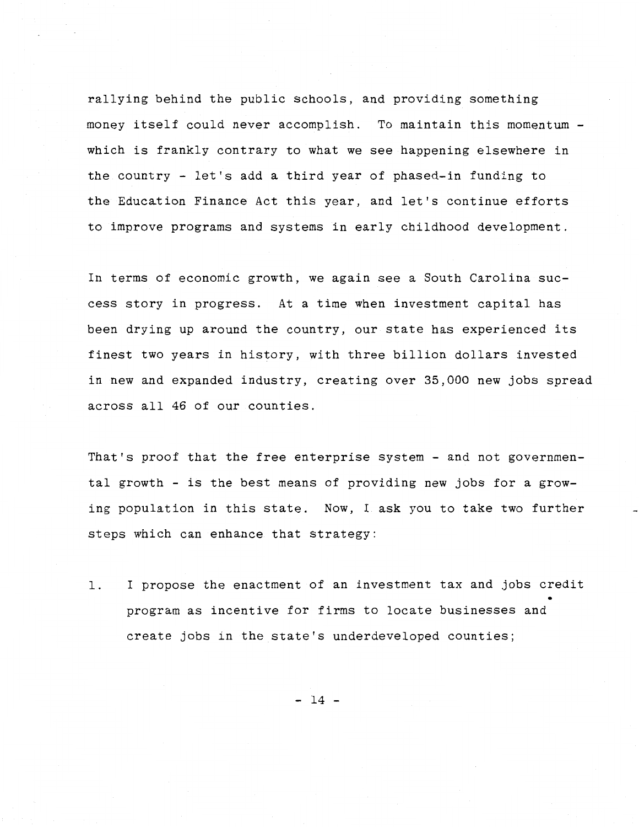rallying behind the public schools, and providing something money itself could never accomplish. To maintain this momentum which is frankly contrary to what we see happening elsewhere in the country - let's add a third year of phased-in funding to the Education Finance Act this year, and let's continue efforts to improve programs and systems in early childhood development.

In terms of economic growth, we again see a South Carolina suecess story in progress. At a time when investment capital has been drying up around the country, our state has experienced its finest two years in history, with three billion dollars invested in new and expanded industry, creating over 35,000 new jobs spread across all 46 of our counties.

That's proof that the free enterprise system- and not governmental growth - is the best means of providing new jobs for a growing population in this state. Now, I ask you to take two further steps which can enhance that strategy:

l. I propose the enactment of an investment tax and jobs credit • program as incentive for firms to locate businesses and create jobs in the state's underdeveloped counties;

- 14 -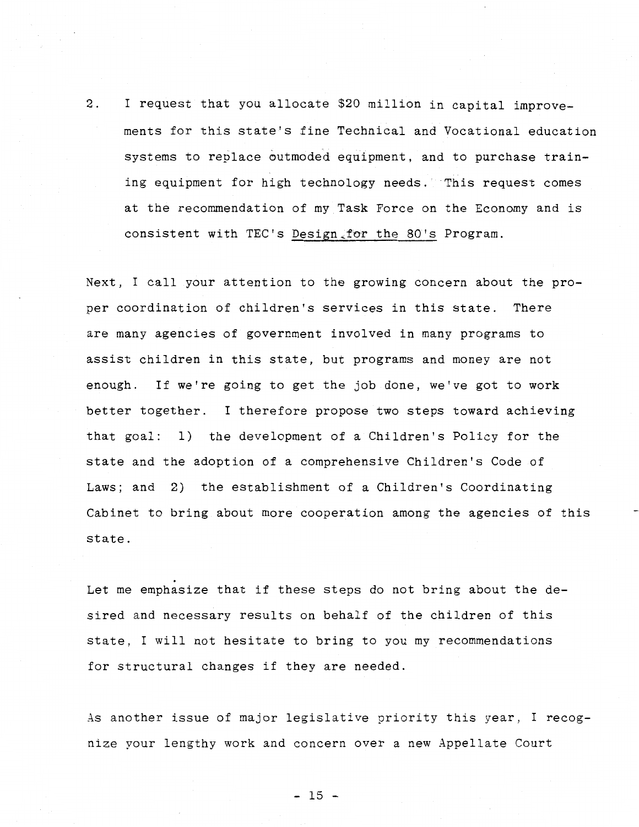2. I request that you allocate \$20 million in capital improvements for this state's fine Technical and Vocational education systems to replace outmoded equipment, and to purchase training equipment for high technology needs. This request comes at the recommendation of my Task Force on the Economy and is consistent with TEC's Design for the 80's Program.

Next, I call your attention to the growing concern about the proper coordination of children's services in this state. There are many agencies of government involved in many programs to assist children in this state, but programs and money are not enough. If we're going to get the job done, we've got to work better together. I therefore propose two steps toward achieving that goal: 1) the development of a Children's Policy for the state and the adoption of a comprehensive Children's Code of Laws; and 2) the establishment of a Children's Coordinating Cabinet to bring about more cooperation among the agencies of this state.

Let me emphasize that if these steps do not bring about the desired and necessary results on behalf of the children of this state, I will not hesitate to bring to you my recommendations for structural changes if they are needed.

.

As another issue of major legislative priority this year, I recognize your lengthy work and concern over a new Appellate Court

 $-15$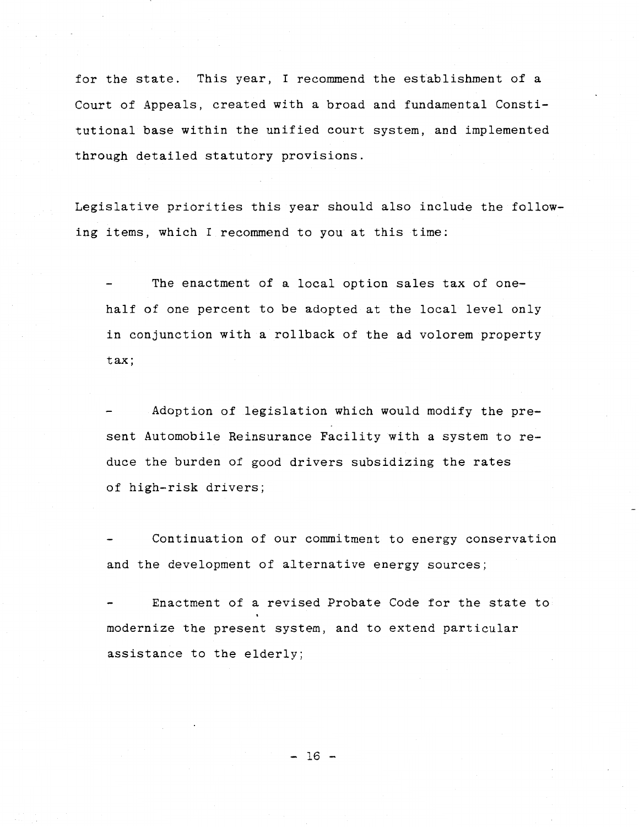for the state. This year, I recommend the establishment of a Court of Appeals, created with a broad and fundamental Constitutional base within the unified court system, and implemented through detailed statutory provisions.

Legislative priorities this year should also include the following items, which I recommend to you at this time:

The enactment of a local option sales tax of onehalf of one percent to be adopted at the local level only in conjunction with a rollback of the ad volorem property tax;

Adoption of legislation which would modify the present Automobile Reinsurance Facility with a system to reduce the burden of good drivers subsidizing the rates of high-risk drivers;

Continuation of our commitment to energy conservation and the development of alternative energy sources;

Enactment of a revised Probate Code for the state to modernize the present system, and to extend particular assistance to the elderly;

- 16 -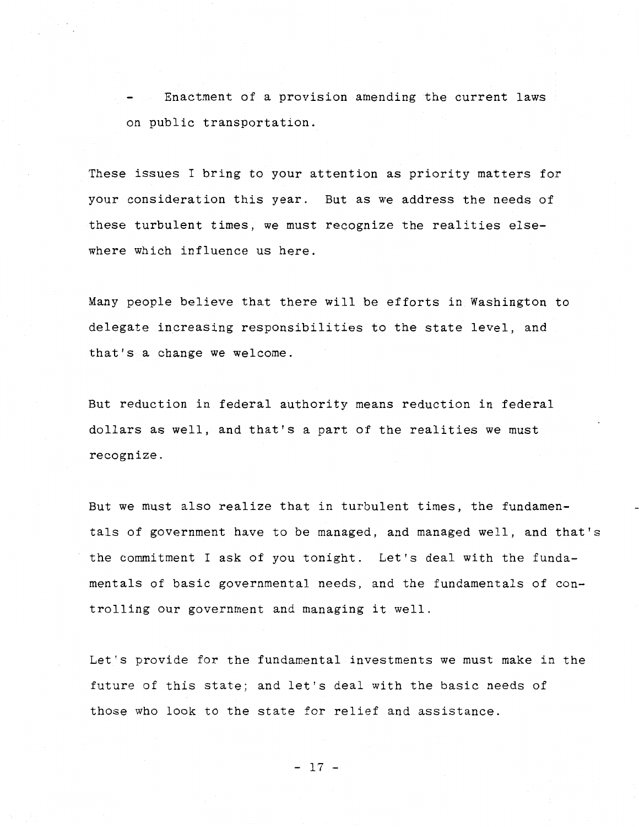Enactment of a provision amending the current laws on public transportation.

These issues I bring to your attention as priority matters for your consideration this year. But as we address the needs of these turbulent times, we must recognize the realities elsewhere which influence us here.

Many people believe that there will be efforts in Washington to delegate increasing responsibilities to the state level, and that's a change we welcome.

But reduction in federal authority means reduction in federal dollars as well, and that's a part of the realities we must recognize.

But we must also realize that in turbulent times, the fundamentals of government have to be managed, and managed well, and that's the commitment I ask of you tonight. Let's deal with the fundamentals of basic governmental needs, and the fundamentals of controlling our government and managing it well.

Let's provide for the fundamental investments we must make in the future of this state; and let's deal with the basic needs of those who look to the state for relief and assistance.

- 17 -